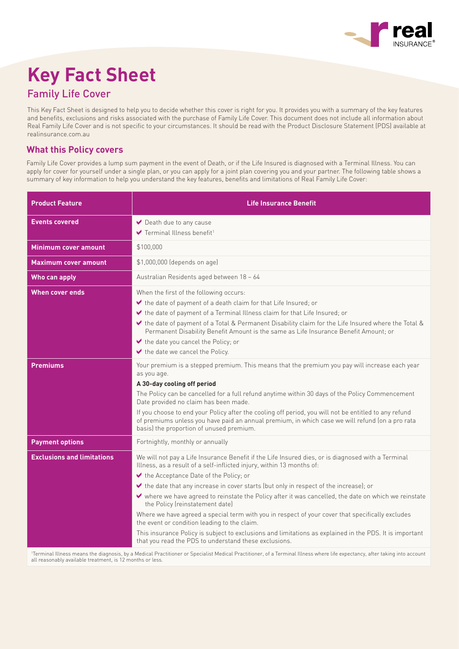

# **Key Fact Sheet**

# Family Life Cover

This Key Fact Sheet is designed to help you to decide whether this cover is right for you. It provides you with a summary of the key features and benefits, exclusions and risks associated with the purchase of Family Life Cover. This document does not include all information about Real Family Life Cover and is not specific to your circumstances. It should be read with the Product Disclosure Statement (PDS) available at realinsurance.com.au

## **What this Policy covers**

Family Life Cover provides a lump sum payment in the event of Death, or if the Life Insured is diagnosed with a Terminal Illness. You can apply for cover for yourself under a single plan, or you can apply for a joint plan covering you and your partner. The following table shows a summary of key information to help you understand the key features, benefits and limitations of Real Family Life Cover:

| <b>Product Feature</b>            | <b>Life Insurance Benefit</b>                                                                                                                                                                                                                                                                                                                                                                                                                                                                                                                                                                                                                                                                                                                                                  |
|-----------------------------------|--------------------------------------------------------------------------------------------------------------------------------------------------------------------------------------------------------------------------------------------------------------------------------------------------------------------------------------------------------------------------------------------------------------------------------------------------------------------------------------------------------------------------------------------------------------------------------------------------------------------------------------------------------------------------------------------------------------------------------------------------------------------------------|
| <b>Events covered</b>             | Death due to any cause<br>$\blacktriangleright$ Terminal Illness benefit <sup>1</sup>                                                                                                                                                                                                                                                                                                                                                                                                                                                                                                                                                                                                                                                                                          |
| <b>Minimum cover amount</b>       | \$100,000                                                                                                                                                                                                                                                                                                                                                                                                                                                                                                                                                                                                                                                                                                                                                                      |
| <b>Maximum cover amount</b>       | \$1,000,000 (depends on age)                                                                                                                                                                                                                                                                                                                                                                                                                                                                                                                                                                                                                                                                                                                                                   |
| Who can apply                     | Australian Residents aged between 18 - 64                                                                                                                                                                                                                                                                                                                                                                                                                                                                                                                                                                                                                                                                                                                                      |
| When cover ends                   | When the first of the following occurs:<br>the date of payment of a death claim for that Life Insured; or<br>the date of payment of a Terminal Illness claim for that Life Insured; or<br>↓ the date of payment of a Total & Permanent Disability claim for the Life Insured where the Total &<br>Permanent Disability Benefit Amount is the same as Life Insurance Benefit Amount; or<br>$\blacktriangleright$ the date you cancel the Policy; or<br>the date we cancel the Policy.                                                                                                                                                                                                                                                                                           |
| <b>Premiums</b>                   | Your premium is a stepped premium. This means that the premium you pay will increase each year<br>as you age.<br>A 30-day cooling off period<br>The Policy can be cancelled for a full refund anytime within 30 days of the Policy Commencement<br>Date provided no claim has been made.<br>If you choose to end your Policy after the cooling off period, you will not be entitled to any refund<br>of premiums unless you have paid an annual premium, in which case we will refund (on a pro rata<br>basis) the proportion of unused premium.                                                                                                                                                                                                                               |
| <b>Payment options</b>            | Fortnightly, monthly or annually                                                                                                                                                                                                                                                                                                                                                                                                                                                                                                                                                                                                                                                                                                                                               |
| <b>Exclusions and limitations</b> | We will not pay a Life Insurance Benefit if the Life Insured dies, or is diagnosed with a Terminal<br>Illness, as a result of a self-inflicted injury, within 13 months of:<br>the Acceptance Date of the Policy; or<br>the date that any increase in cover starts (but only in respect of the increase); or<br>where we have agreed to reinstate the Policy after it was cancelled, the date on which we reinstate<br>the Policy (reinstatement date)<br>Where we have agreed a special term with you in respect of your cover that specifically excludes<br>the event or condition leading to the claim.<br>This insurance Policy is subject to exclusions and limitations as explained in the PDS. It is important<br>that you read the PDS to understand these exclusions. |

1 Terminal Illness means the diagnosis, by a Medical Practitioner or Specialist Medical Practitioner, of a Terminal Illness where life expectancy, after taking into account all reasonably available treatment, is 12 months or less.